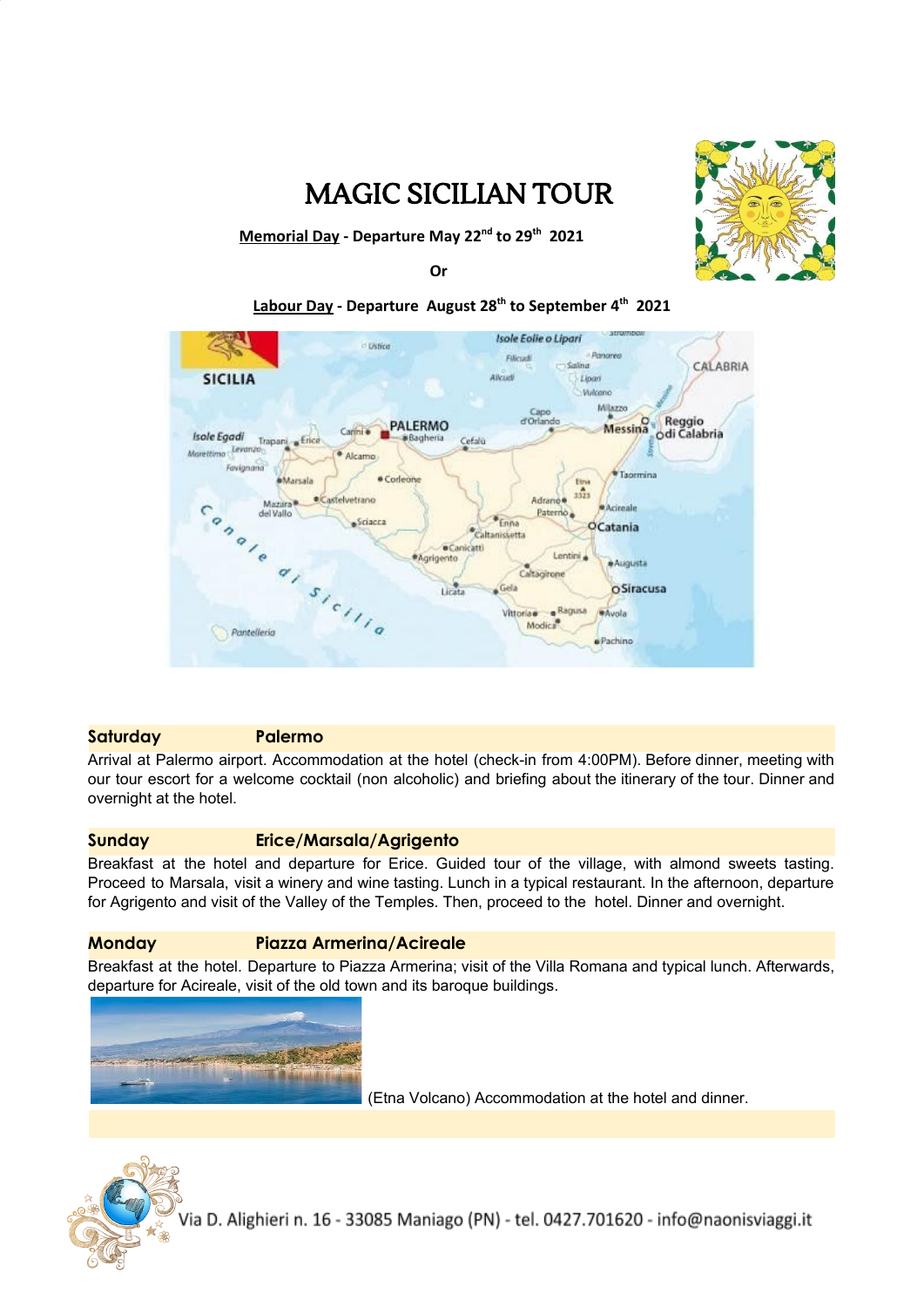

# MAGIC SICILIAN TOUR

**Memorial Day - Departure May 22 nd to 29 th 2021**

**Or**

## **Labour Day - Departure August 28 th to September 4 th 2021**



### **Saturday Palermo**

Arrival at Palermo airport. Accommodation at the hotel (check-in from 4:00PM). Before dinner, meeting with our tour escort for a welcome cocktail (non alcoholic) and briefing about the itinerary of the tour. Dinner and overnight at the hotel.

### **Sunday Erice/Marsala/Agrigento**

Breakfast at the hotel and departure for Erice. Guided tour of the village, with almond sweets tasting. Proceed to Marsala, visit a winery and wine tasting. Lunch in a typical restaurant. In the afternoon, departure for Agrigento and visit of the Valley of the Temples. Then, proceed to the hotel. Dinner and overnight.

### **Monday Piazza Armerina/Acireale**

Breakfast at the hotel. Departure to Piazza Armerina; visit of the Villa Romana and typical lunch. Afterwards, departure for Acireale, visit of the old town and its baroque buildings.



(Etna Volcano) Accommodation at the hotel and dinner.

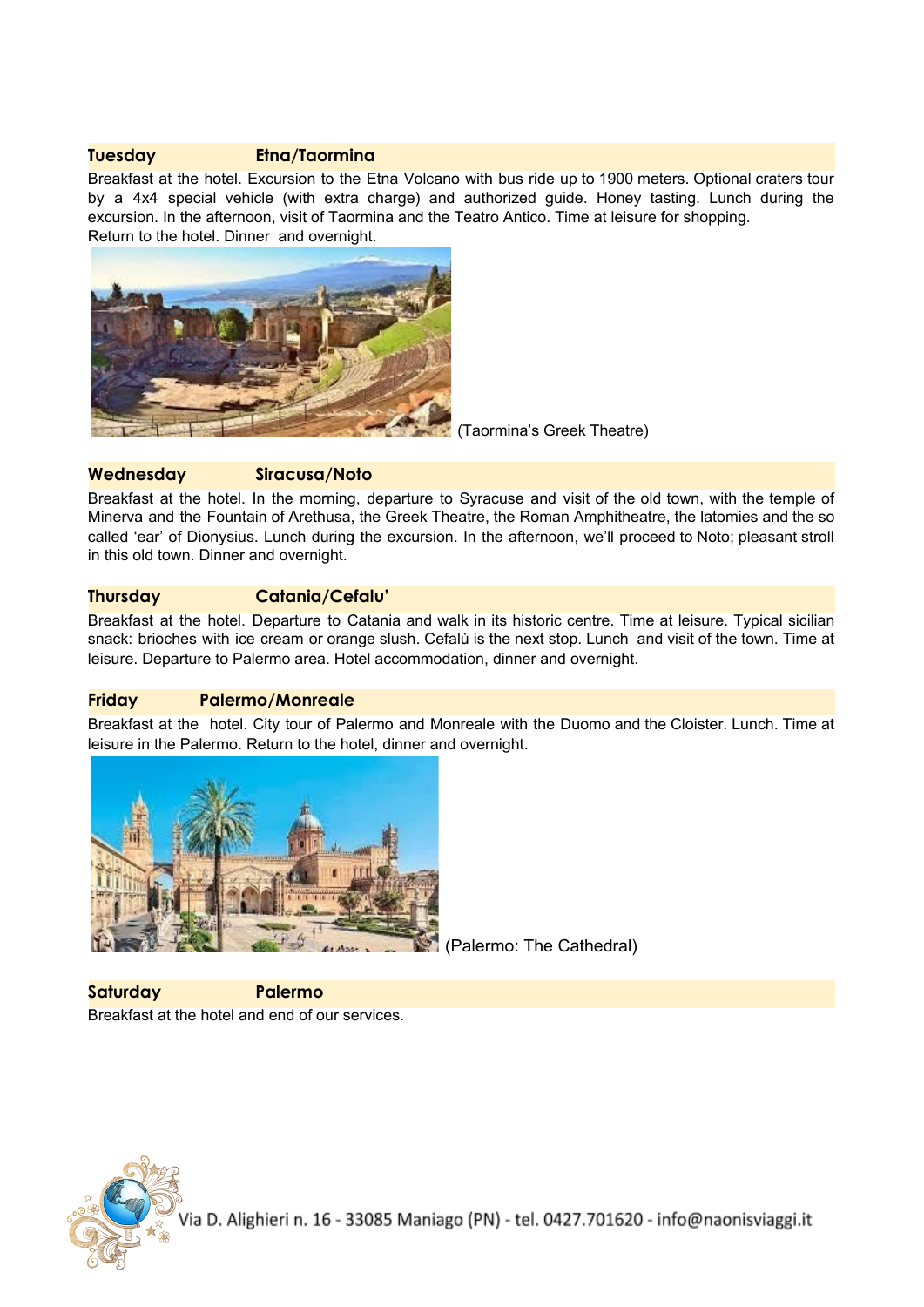### **Tuesday Etna/Taormina**

Breakfast at the hotel. Excursion to the Etna Volcano with bus ride up to 1900 meters. Optional craters tour by a 4x4 special vehicle (with extra charge) and authorized guide. Honey tasting. Lunch during the excursion. In the afternoon, visit of Taormina and the Teatro Antico. Time at leisure for shopping. Return to the hotel. Dinner and overnight.



(Taormina's Greek Theatre)

### **Wednesday Siracusa/Noto**

Breakfast at the hotel. In the morning, departure to Syracuse and visit of the old town, with the temple of Minerva and the Fountain of Arethusa, the Greek Theatre, the Roman Amphitheatre, the latomies and the so called 'ear' of Dionysius. Lunch during the excursion. In the afternoon, we'll proceed to Noto; pleasant stroll in this old town. Dinner and overnight.

## **Thursday Catania/Cefalu'**

Breakfast at the hotel. Departure to Catania and walk in its historic centre. Time at leisure. Typical sicilian snack: brioches with ice cream or orange slush. Cefalù is the next stop. Lunch and visit of the town. Time at leisure. Departure to Palermo area. Hotel accommodation, dinner and overnight.

### **Friday Palermo/Monreale**

Breakfast at the hotel. City tour of Palermo and Monreale with the Duomo and the Cloister. Lunch. Time at leisure in the Palermo. Return to the hotel, dinner and overnight.



(Palermo: The Cathedral)

**Saturday Palermo** Breakfast at the hotel and end of our services.

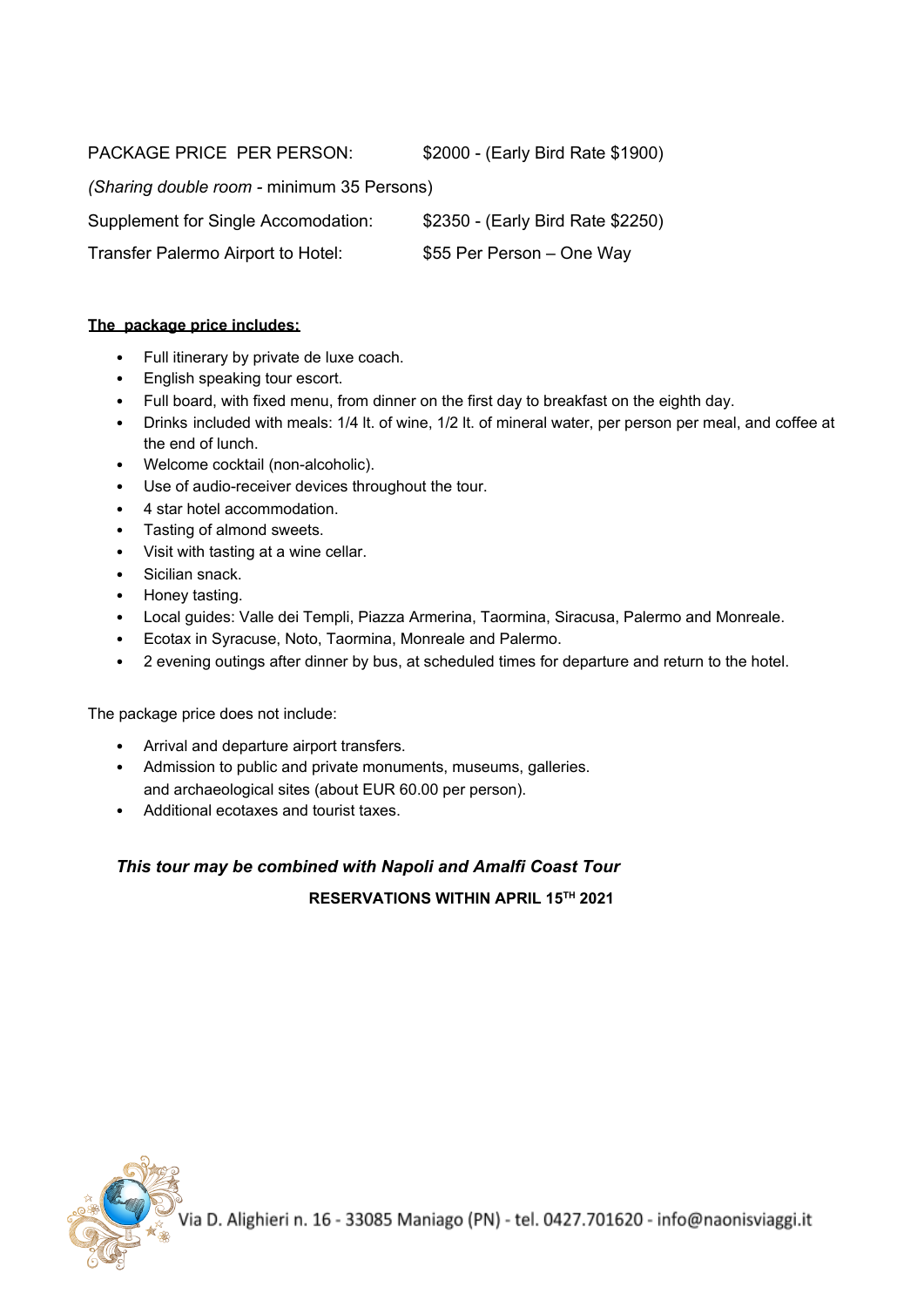PACKAGE PRICE PER PERSON: \$2000 - (Early Bird Rate \$1900)

*(Sharing double room -* minimum 35 Persons)

Supplement for Single Accomodation: \$2350 - (Early Bird Rate \$2250)

Transfer Palermo Airport to Hotel: \$55 Per Person – One Way

## **The package price includes:**

- Full itinerary by private de luxe coach.
- English speaking tour escort.
- Full board, with fixed menu, from dinner on the first day to breakfast on the eighth day.
- Drinks included with meals: 1/4 lt. of wine, 1/2 lt. of mineral water, per person per meal, and coffee at the end of lunch.
- Welcome cocktail (non-alcoholic).
- Use of audio-receiver devices throughout the tour.
- 4 star hotel accommodation.
- Tasting of almond sweets.
- Visit with tasting at a wine cellar.
- Sicilian snack.
- Honey tasting.
- Local guides: Valle dei Templi, Piazza Armerina, Taormina, Siracusa, Palermo and Monreale.
- Ecotax in Syracuse, Noto, Taormina, Monreale and Palermo.
- 2 evening outings after dinner by bus, at scheduled times for departure and return to the hotel.

The package price does not include:

- Arrival and departure airport transfers.
- Admission to public and private monuments, museums, galleries. and archaeological sites (about EUR 60.00 per person).
- Additional ecotaxes and tourist taxes.

# *This tour may be combined with Napoli and Amalfi Coast Tour*

**RESERVATIONS WITHIN APRIL 15 TH 2021**

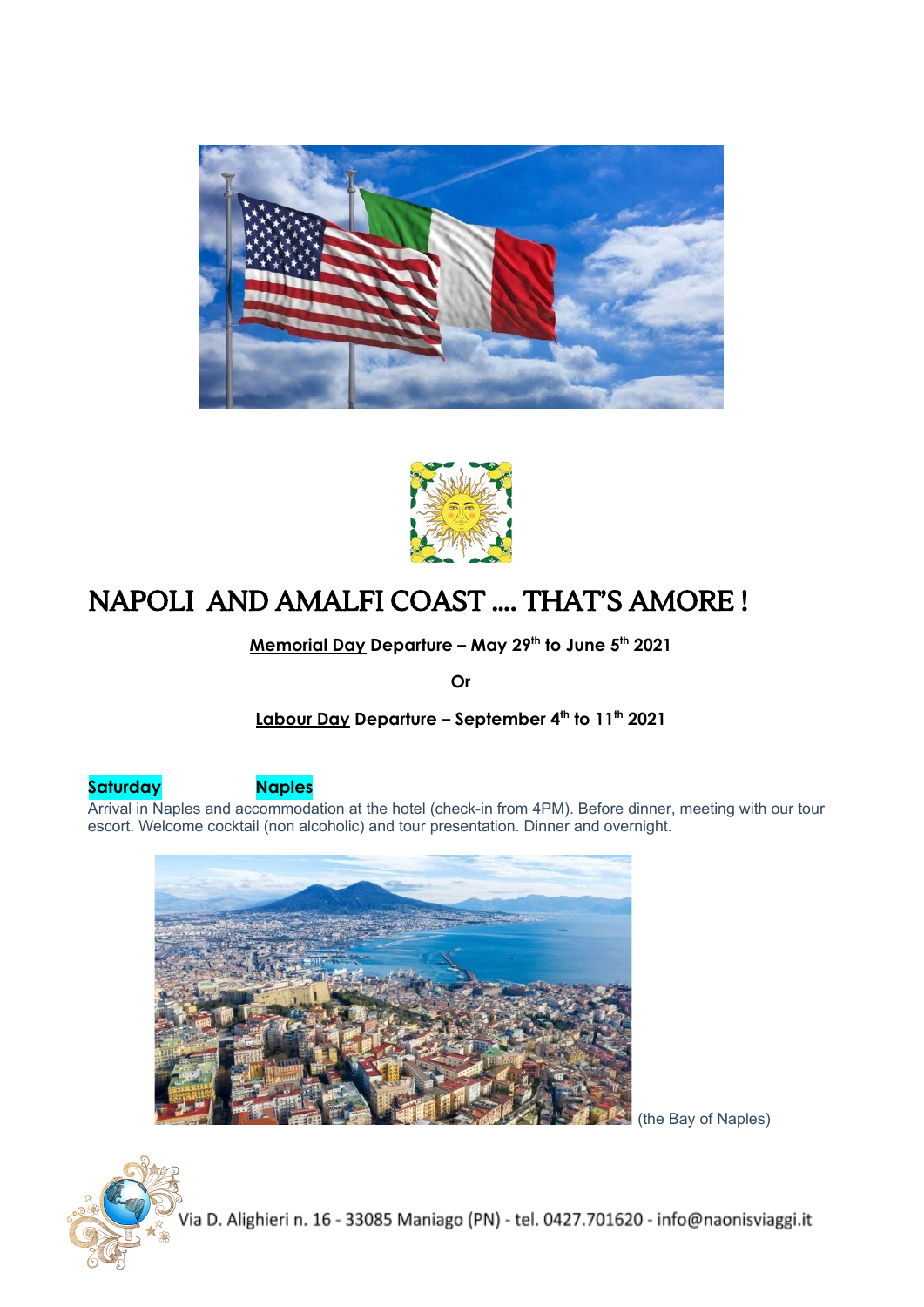



# NAPOLI AND AMALFI COAST …. THAT'S AMORE !

**Memorial Day Departure – May 29 th to June 5 th 2021**

**Or**

**Labour Day Departure – September 4 th to 11 th 2021**

**Saturday Naples**

Arrival in Naples and accommodation at the hotel (check-in from 4PM). Before dinner, meeting with our tour escort. Welcome cocktail (non alcoholic) and tour presentation. Dinner and overnight.



(the Bay of Naples)

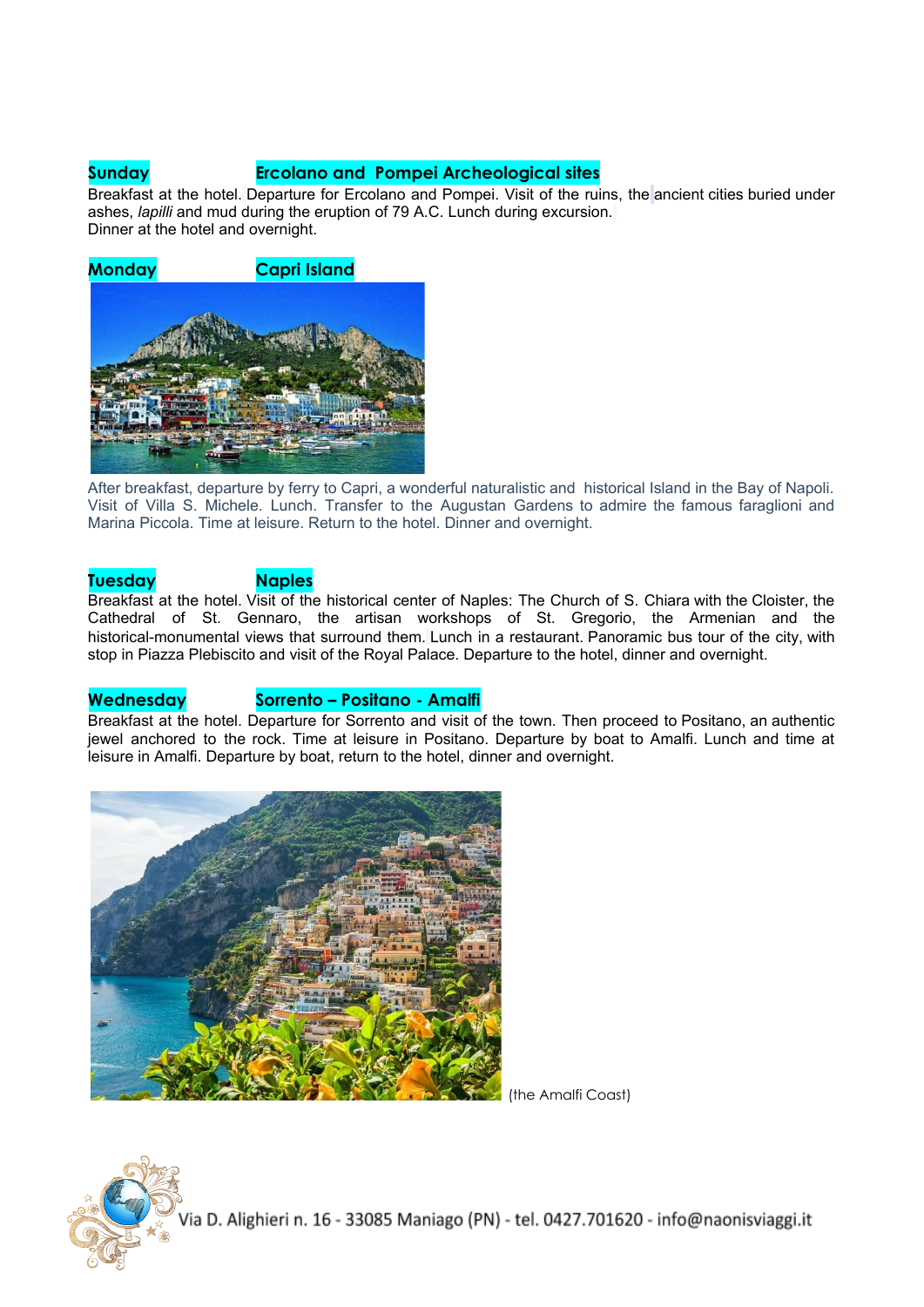## **Sunday Ercolano and Pompei Archeological sites**

Breakfast at the hotel. Departure for Ercolano and Pompei. Visit of the ruins, the ancient cities buried under ashes, *lapilli* and mud during the eruption of 79 A.C. Lunch during excursion. Dinner at the hotel and overnight.



After breakfast, departure by ferry to Capri, a wonderful naturalistic and historical Island in the Bay of Napoli. Visit of Villa S. Michele. Lunch. Transfer to the Augustan Gardens to admire the famous faraglioni and Marina Piccola. Time at leisure. Return to the hotel. Dinner and overnight.

### **Tuesday Naples**

Breakfast at the hotel. Visit of the historical center of Naples: The Church of S. Chiara with the Cloister, the Cathedral of St. Gennaro, the artisan workshops of St. Gregorio, the Armenian and the historical-monumental views that surround them. Lunch in a restaurant. Panoramic bus tour of the city, with stop in Piazza Plebiscito and visit of the Royal Palace. Departure to the hotel, dinner and overnight.

### **Wednesday Sorrento – Positano - Amalfi**

Breakfast at the hotel. Departure for Sorrento and visit of the town. Then proceed to Positano, an authentic jewel anchored to the rock. Time at leisure in Positano. Departure by boat to Amalfi. Lunch and time at leisure in Amalfi. Departure by boat, return to the hotel, dinner and overnight.



(the Amalfi Coast)